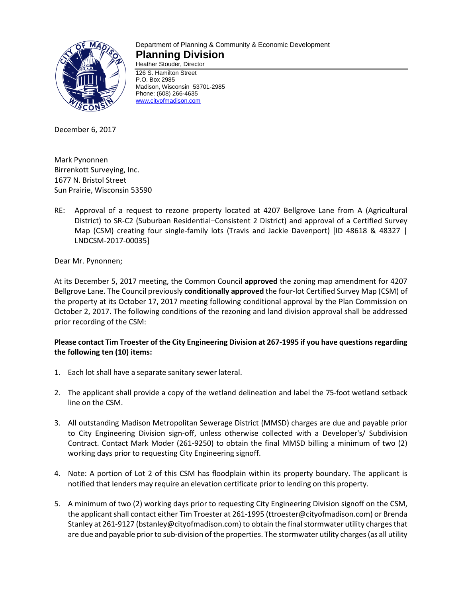

#### Department of Planning & Community & Economic Development **Planning Division** Heather Stouder, Director

126 S. Hamilton Street P.O. Box 2985 Madison, Wisconsin 53701-2985 Phone: (608) 266-4635 [www.cityofmadison.com](http://www.cityofmadison.com/)

December 6, 2017

Mark Pynonnen Birrenkott Surveying, Inc. 1677 N. Bristol Street Sun Prairie, Wisconsin 53590

RE: Approval of a request to rezone property located at 4207 Bellgrove Lane from A (Agricultural District) to SR-C2 (Suburban Residential–Consistent 2 District) and approval of a Certified Survey Map (CSM) creating four single-family lots (Travis and Jackie Davenport) [ID 48618 & 48327 | LNDCSM-2017-00035]

## Dear Mr. Pynonnen;

At its December 5, 2017 meeting, the Common Council **approved** the zoning map amendment for 4207 Bellgrove Lane. The Council previously **conditionally approved** the four-lot Certified Survey Map (CSM) of the property at its October 17, 2017 meeting following conditional approval by the Plan Commission on October 2, 2017. The following conditions of the rezoning and land division approval shall be addressed prior recording of the CSM:

# **Please contact Tim Troester of the City Engineering Division at 267-1995 if you have questions regarding the following ten (10) items:**

- 1. Each lot shall have a separate sanitary sewer lateral.
- 2. The applicant shall provide a copy of the wetland delineation and label the 75-foot wetland setback line on the CSM.
- 3. All outstanding Madison Metropolitan Sewerage District (MMSD) charges are due and payable prior to City Engineering Division sign-off, unless otherwise collected with a Developer's/ Subdivision Contract. Contact Mark Moder (261-9250) to obtain the final MMSD billing a minimum of two (2) working days prior to requesting City Engineering signoff.
- 4. Note: A portion of Lot 2 of this CSM has floodplain within its property boundary. The applicant is notified that lenders may require an elevation certificate prior to lending on this property.
- 5. A minimum of two (2) working days prior to requesting City Engineering Division signoff on the CSM, the applicant shall contact either Tim Troester at 261-1995 (ttroester@cityofmadison.com) or Brenda Stanley at 261-9127 (bstanley@cityofmadison.com) to obtain the final stormwater utility charges that are due and payable prior to sub-division of the properties. The stormwater utility charges (as all utility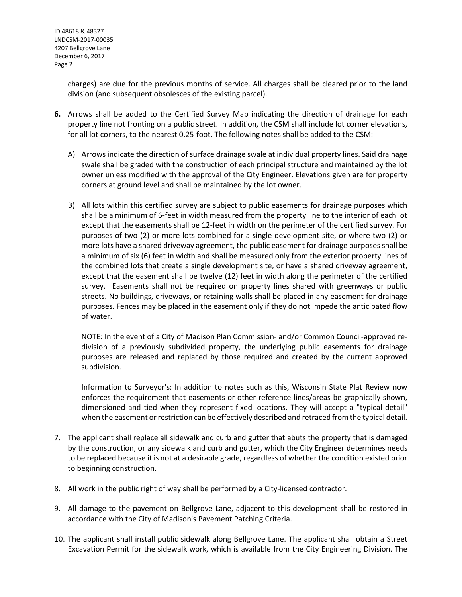charges) are due for the previous months of service. All charges shall be cleared prior to the land division (and subsequent obsolesces of the existing parcel).

- **6.** Arrows shall be added to the Certified Survey Map indicating the direction of drainage for each property line not fronting on a public street. In addition, the CSM shall include lot corner elevations, for all lot corners, to the nearest 0.25-foot. The following notes shall be added to the CSM:
	- A) Arrows indicate the direction of surface drainage swale at individual property lines. Said drainage swale shall be graded with the construction of each principal structure and maintained by the lot owner unless modified with the approval of the City Engineer. Elevations given are for property corners at ground level and shall be maintained by the lot owner.
	- B) All lots within this certified survey are subject to public easements for drainage purposes which shall be a minimum of 6-feet in width measured from the property line to the interior of each lot except that the easements shall be 12-feet in width on the perimeter of the certified survey. For purposes of two (2) or more lots combined for a single development site, or where two (2) or more lots have a shared driveway agreement, the public easement for drainage purposes shall be a minimum of six (6) feet in width and shall be measured only from the exterior property lines of the combined lots that create a single development site, or have a shared driveway agreement, except that the easement shall be twelve (12) feet in width along the perimeter of the certified survey. Easements shall not be required on property lines shared with greenways or public streets. No buildings, driveways, or retaining walls shall be placed in any easement for drainage purposes. Fences may be placed in the easement only if they do not impede the anticipated flow of water.

NOTE: In the event of a City of Madison Plan Commission- and/or Common Council-approved redivision of a previously subdivided property, the underlying public easements for drainage purposes are released and replaced by those required and created by the current approved subdivision.

Information to Surveyor's: In addition to notes such as this, Wisconsin State Plat Review now enforces the requirement that easements or other reference lines/areas be graphically shown, dimensioned and tied when they represent fixed locations. They will accept a "typical detail" when the easement or restriction can be effectively described and retraced from the typical detail.

- 7. The applicant shall replace all sidewalk and curb and gutter that abuts the property that is damaged by the construction, or any sidewalk and curb and gutter, which the City Engineer determines needs to be replaced because it is not at a desirable grade, regardless of whether the condition existed prior to beginning construction.
- 8. All work in the public right of way shall be performed by a City-licensed contractor.
- 9. All damage to the pavement on Bellgrove Lane, adjacent to this development shall be restored in accordance with the City of Madison's Pavement Patching Criteria.
- 10. The applicant shall install public sidewalk along Bellgrove Lane. The applicant shall obtain a Street Excavation Permit for the sidewalk work, which is available from the City Engineering Division. The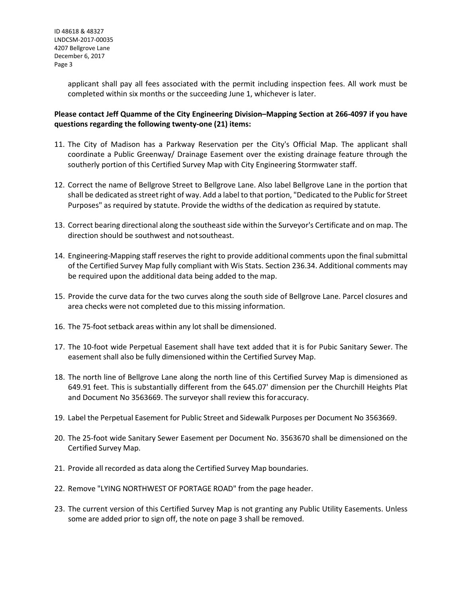applicant shall pay all fees associated with the permit including inspection fees. All work must be completed within six months or the succeeding June 1, whichever is later.

## **Please contact Jeff Quamme of the City Engineering Division–Mapping Section at 266-4097 if you have questions regarding the following twenty-one (21) items:**

- 11. The City of Madison has a Parkway Reservation per the City's Official Map. The applicant shall coordinate a Public Greenway/ Drainage Easement over the existing drainage feature through the southerly portion of this Certified Survey Map with City Engineering Stormwater staff.
- 12. Correct the name of Bellgrove Street to Bellgrove Lane. Also label Bellgrove Lane in the portion that shall be dedicated as street right of way. Add a label to that portion, "Dedicated to the Public for Street Purposes" as required by statute. Provide the widths of the dedication as required by statute.
- 13. Correct bearing directional along the southeast side within the Surveyor's Certificate and on map. The direction should be southwest and notsoutheast.
- 14. Engineering-Mapping staff reserves the right to provide additional comments upon the finalsubmittal of the Certified Survey Map fully compliant with Wis Stats. Section 236.34. Additional comments may be required upon the additional data being added to the map.
- 15. Provide the curve data for the two curves along the south side of Bellgrove Lane. Parcel closures and area checks were not completed due to this missing information.
- 16. The 75-foot setback areas within any lot shall be dimensioned.
- 17. The 10-foot wide Perpetual Easement shall have text added that it is for Pubic Sanitary Sewer. The easement shall also be fully dimensioned within the Certified Survey Map.
- 18. The north line of Bellgrove Lane along the north line of this Certified Survey Map is dimensioned as 649.91 feet. This is substantially different from the 645.07' dimension per the Churchill Heights Plat and Document No 3563669. The surveyor shall review this foraccuracy.
- 19. Label the Perpetual Easement for Public Street and Sidewalk Purposes per Document No 3563669.
- 20. The 25-foot wide Sanitary Sewer Easement per Document No. 3563670 shall be dimensioned on the Certified Survey Map.
- 21. Provide all recorded as data along the Certified Survey Map boundaries.
- 22. Remove "LYING NORTHWEST OF PORTAGE ROAD" from the page header.
- 23. The current version of this Certified Survey Map is not granting any Public Utility Easements. Unless some are added prior to sign off, the note on page 3 shall be removed.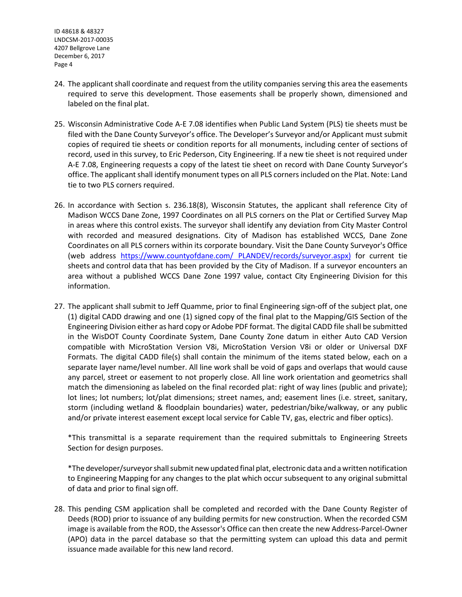ID 48618 & 48327 LNDCSM-2017-00035 4207 Bellgrove Lane December 6, 2017 Page 4

- 24. The applicant shall coordinate and request from the utility companies serving this area the easements required to serve this development. Those easements shall be properly shown, dimensioned and labeled on the final plat.
- 25. Wisconsin Administrative Code A-E 7.08 identifies when Public Land System (PLS) tie sheets must be filed with the Dane County Surveyor's office. The Developer's Surveyor and/or Applicant must submit copies of required tie sheets or condition reports for all monuments, including center of sections of record, used in this survey, to Eric Pederson, City Engineering. If a new tie sheet is not required under A-E 7.08, Engineering requests a copy of the latest tie sheet on record with Dane County Surveyor's office. The applicant shall identify monument types on all PLS corners included on the Plat. Note: Land tie to two PLS corners required.
- 26. In accordance with Section s. 236.18(8), Wisconsin Statutes, the applicant shall reference City of Madison WCCS Dane Zone, 1997 Coordinates on all PLS corners on the Plat or Certified Survey Map in areas where this control exists. The surveyor shall identify any deviation from City Master Control with recorded and measured designations. City of Madison has established WCCS, Dane Zone Coordinates on all PLS corners within its corporate boundary. Visit the Dane County Surveyor's Office (web address [https://www.countyofdane.com/ PLANDEV/records/surveyor.aspx\)](https://www.countyofdane.com/%20PLANDEV/records/surveyor.aspx)) for current tie sheets and control data that has been provided by the City of Madison. If a surveyor encounters an area without a published WCCS Dane Zone 1997 value, contact City Engineering Division for this information.
- 27. The applicant shall submit to Jeff Quamme, prior to final Engineering sign-off of the subject plat, one (1) digital CADD drawing and one (1) signed copy of the final plat to the Mapping/GIS Section of the Engineering Division either as hard copy or Adobe PDF format. The digital CADD file shall be submitted in the WisDOT County Coordinate System, Dane County Zone datum in either Auto CAD Version compatible with MicroStation Version V8i, MicroStation Version V8i or older or Universal DXF Formats. The digital CADD file(s) shall contain the minimum of the items stated below, each on a separate layer name/level number. All line work shall be void of gaps and overlaps that would cause any parcel, street or easement to not properly close. All line work orientation and geometrics shall match the dimensioning as labeled on the final recorded plat: right of way lines (public and private); lot lines; lot numbers; lot/plat dimensions; street names, and; easement lines (i.e. street, sanitary, storm (including wetland & floodplain boundaries) water, pedestrian/bike/walkway, or any public and/or private interest easement except local service for Cable TV, gas, electric and fiber optics).

\*This transmittal is a separate requirement than the required submittals to Engineering Streets Section for design purposes.

\*The developer/surveyorshallsubmit new updated final plat, electronic data and awritten notification to Engineering Mapping for any changes to the plat which occur subsequent to any original submittal of data and prior to final sign off.

28. This pending CSM application shall be completed and recorded with the Dane County Register of Deeds (ROD) prior to issuance of any building permits for new construction. When the recorded CSM image is available from the ROD, the Assessor's Office can then create the new Address-Parcel-Owner (APO) data in the parcel database so that the permitting system can upload this data and permit issuance made available for this new land record.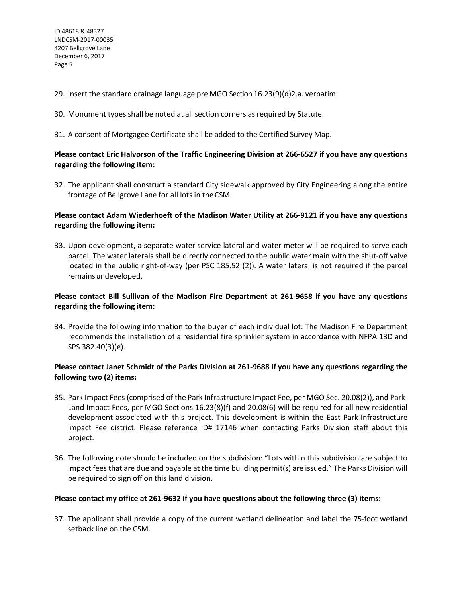- 29. Insert the standard drainage language pre MGO Section 16.23(9)(d)2.a. verbatim.
- 30. Monument types shall be noted at all section corners as required by Statute.
- 31. A consent of Mortgagee Certificate shall be added to the Certified Survey Map.

## **Please contact Eric Halvorson of the Traffic Engineering Division at 266-6527 if you have any questions regarding the following item:**

32. The applicant shall construct a standard City sidewalk approved by City Engineering along the entire frontage of Bellgrove Lane for all lots in theCSM.

## **Please contact Adam Wiederhoeft of the Madison Water Utility at 266-9121 if you have any questions regarding the following item:**

33. Upon development, a separate water service lateral and water meter will be required to serve each parcel. The water laterals shall be directly connected to the public water main with the shut-off valve located in the public right-of-way (per PSC 185.52 (2)). A water lateral is not required if the parcel remains undeveloped.

## **Please contact Bill Sullivan of the Madison Fire Department at 261-9658 if you have any questions regarding the following item:**

34. Provide the following information to the buyer of each individual lot: The Madison Fire Department recommends the installation of a residential fire sprinkler system in accordance with NFPA 13D and SPS 382.40(3)(e).

# **Please contact Janet Schmidt of the Parks Division at 261-9688 if you have any questions regarding the following two (2) items:**

- 35. Park Impact Fees (comprised of the Park Infrastructure Impact Fee, per MGO Sec. 20.08(2)), and Park-Land Impact Fees, per MGO Sections 16.23(8)(f) and 20.08(6) will be required for all new residential development associated with this project. This development is within the East Park-Infrastructure Impact Fee district. Please reference ID# 17146 when contacting Parks Division staff about this project.
- 36. The following note should be included on the subdivision: "Lots within this subdivision are subject to impact feesthat are due and payable at the time building permit(s) are issued." The Parks Division will be required to sign off on this land division.

#### **Please contact my office at 261-9632 if you have questions about the following three (3) items:**

37. The applicant shall provide a copy of the current wetland delineation and label the 75-foot wetland setback line on the CSM.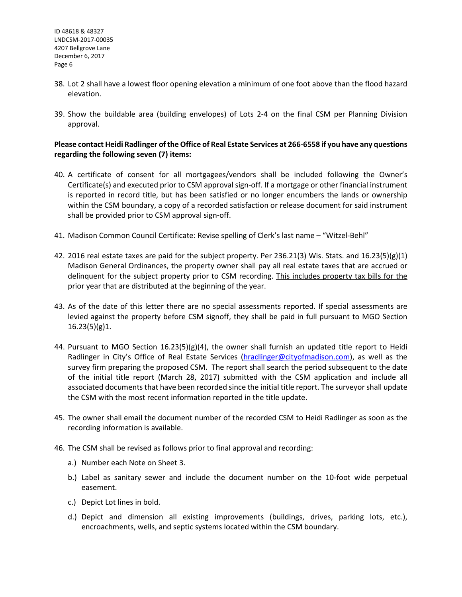- 38. Lot 2 shall have a lowest floor opening elevation a minimum of one foot above than the flood hazard elevation.
- 39. Show the buildable area (building envelopes) of Lots 2-4 on the final CSM per Planning Division approval.

#### **Please contact Heidi Radlinger of the Office of Real Estate Services at 266-6558 if you have any questions regarding the following seven (7) items:**

- 40. A certificate of consent for all mortgagees/vendors shall be included following the Owner's Certificate(s) and executed prior to CSM approval sign-off. If a mortgage or other financial instrument is reported in record title, but has been satisfied or no longer encumbers the lands or ownership within the CSM boundary, a copy of a recorded satisfaction or release document for said instrument shall be provided prior to CSM approval sign-off.
- 41. Madison Common Council Certificate: Revise spelling of Clerk's last name "Witzel-Behl"
- 42. 2016 real estate taxes are paid for the subject property. Per 236.21(3) Wis. Stats. and 16.23(5)(g)(1) Madison General Ordinances, the property owner shall pay all real estate taxes that are accrued or delinquent for the subject property prior to CSM recording. This includes property tax bills for the prior year that are distributed at the beginning of the year.
- 43. As of the date of this letter there are no special assessments reported. If special assessments are levied against the property before CSM signoff, they shall be paid in full pursuant to MGO Section 16.23(5)(g)1.
- 44. Pursuant to MGO Section  $16.23(5)(g)(4)$ , the owner shall furnish an updated title report to Heidi Radlinger in City's Office of Real Estate Services [\(hradlinger@cityofmadison.com\)](mailto:hradlinger@cityofmadison.com), as well as the survey firm preparing the proposed CSM. The report shall search the period subsequent to the date of the initial title report (March 28, 2017) submitted with the CSM application and include all associated documents that have been recorded since the initial title report. The surveyor shall update the CSM with the most recent information reported in the title update.
- 45. The owner shall email the document number of the recorded CSM to Heidi Radlinger as soon as the recording information is available.
- 46. The CSM shall be revised as follows prior to final approval and recording:
	- a.) Number each Note on Sheet 3.
	- b.) Label as sanitary sewer and include the document number on the 10-foot wide perpetual easement.
	- c.) Depict Lot lines in bold.
	- d.) Depict and dimension all existing improvements (buildings, drives, parking lots, etc.), encroachments, wells, and septic systems located within the CSM boundary.